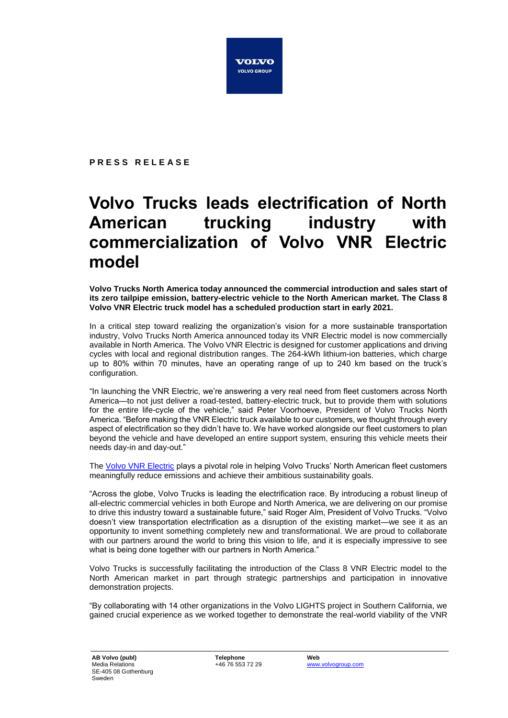

**P R E S S R E L E A S E**

## **Volvo Trucks leads electrification of North American trucking industry with commercialization of Volvo VNR Electric model**

**Volvo Trucks North America today announced the commercial introduction and sales start of its zero tailpipe emission, battery-electric vehicle to the North American market. The Class 8 Volvo VNR Electric truck model has a scheduled production start in early 2021.**

In a critical step toward realizing the organization's vision for a more sustainable transportation industry, Volvo Trucks North America announced today its VNR Electric model is now commercially available in North America. The Volvo VNR Electric is designed for customer applications and driving cycles with local and regional distribution ranges. The 264-kWh lithium-ion batteries, which charge up to 80% within 70 minutes, have an operating range of up to 240 km based on the truck's configuration.

"In launching the VNR Electric, we're answering a very real need from fleet customers across North America—to not just deliver a road-tested, battery-electric truck, but to provide them with solutions for the entire life-cycle of the vehicle," said Peter Voorhoeve, President of Volvo Trucks North America. "Before making the VNR Electric truck available to our customers, we thought through every aspect of electrification so they didn't have to. We have worked alongside our fleet customers to plan beyond the vehicle and have developed an entire support system, ensuring this vehicle meets their needs day-in and day-out."

The [Volvo VNR Electric](https://youtu.be/hLncdE1F5jg) plays a pivotal role in helping Volvo Trucks' North American fleet customers meaningfully reduce emissions and achieve their ambitious sustainability goals.

"Across the globe, Volvo Trucks is leading the electrification race. By introducing a robust lineup of all-electric commercial vehicles in both Europe and North America, we are delivering on our promise to drive this industry toward a sustainable future," said Roger Alm, President of Volvo Trucks. "Volvo doesn't view transportation electrification as a disruption of the existing market—we see it as an opportunity to invent something completely new and transformational. We are proud to collaborate with our partners around the world to bring this vision to life, and it is especially impressive to see what is being done together with our partners in North America."

Volvo Trucks is successfully facilitating the introduction of the Class 8 VNR Electric model to the North American market in part through strategic partnerships and participation in innovative demonstration projects.

"By collaborating with 14 other organizations in the Volvo LIGHTS project in Southern California, we gained crucial experience as we worked together to demonstrate the real-world viability of the VNR